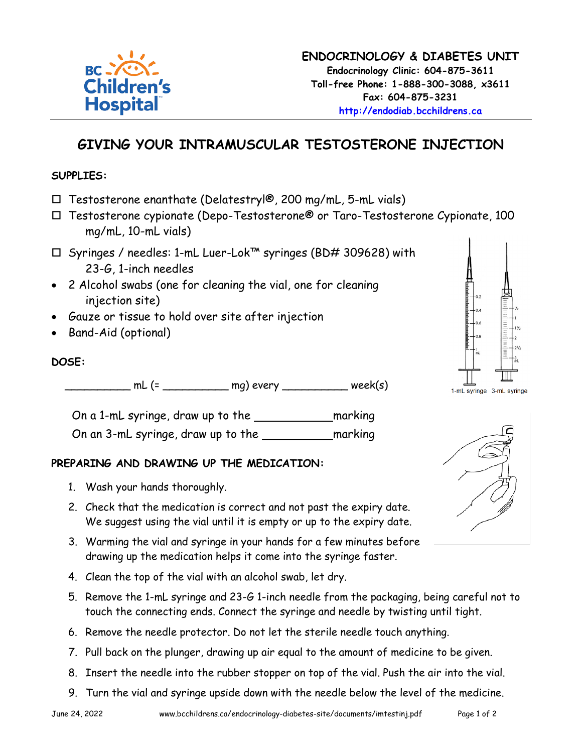#### **ENDOCRINOLOGY & DIABETES UNIT Endocrinology Clinic: 604-875-3611 Toll-free Phone: 1-888-300-3088, x3611 Fax: 604-875-3231 [http://endodiab.bcchildrens.ca](http://endodiab.bcchildrens.ca/)**

# **GIVING YOUR INTRAMUSCULAR TESTOSTERONE INJECTION**

#### **SUPPLIES:**

- $\Box$  Testosterone enanthate (Delatestryl®, 200 mg/mL, 5-mL vials)
- Testosterone cypionate (Depo-Testosterone® or Taro-Testosterone Cypionate, 100 mg/mL, 10-mL vials)
- Syringes / needles: 1-mL Luer-Lok™ syringes (BD# 309628) with 23-G, 1-inch needles
- 2 Alcohol swabs (one for cleaning the vial, one for cleaning injection site)
- Gauze or tissue to hold over site after injection
- Band-Aid (optional)

### **DOSE:**

 $mL$  (=  $mg)$  every week(s)

| On a 1-mL syringe, draw up to the  | marking |
|------------------------------------|---------|
| On an 3-mL syringe, draw up to the | marking |

### **PREPARING AND DRAWING UP THE MEDICATION:**

- 1. Wash your hands thoroughly.
- 2. Check that the medication is correct and not past the expiry date. We suggest using the vial until it is empty or up to the expiry date.
- 3. Warming the vial and syringe in your hands for a few minutes before drawing up the medication helps it come into the syringe faster.
- 4. Clean the top of the vial with an alcohol swab, let dry.
- 5. Remove the 1-mL syringe and 23-G 1-inch needle from the packaging, being careful not to touch the connecting ends. Connect the syringe and needle by twisting until tight.
- 6. Remove the needle protector. Do not let the sterile needle touch anything.
- 7. Pull back on the plunger, drawing up air equal to the amount of medicine to be given.
- 8. Insert the needle into the rubber stopper on top of the vial. Push the air into the vial.
- 9. Turn the vial and syringe upside down with the needle below the level of the medicine.